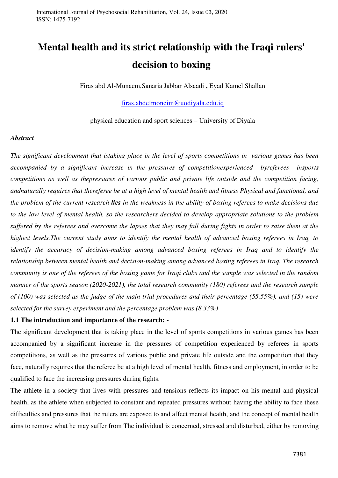# **Mental health and its strict relationship with the Iraqi rulers' decision to boxing**

Firas abd Al-Munaem,Sanaria Jabbar Alsaadi **,** Eyad Kamel Shallan

#### [firas.abdelmoneim@uodiyala.edu.iq](mailto:firas.abdelmoneim@uodiyala.edu.iq)

physical education and sport sciences – University of Diyala

#### *Abstract*

*The significant development that istaking place in the level of sports competitions in various games has been accompanied by a significant increase in the pressures of competitionexperienced byreferees insports competitions as well as thepressures of various public and private life outside and the competition facing, andnaturally requires that thereferee be at a high level of mental health and fitness Physical and functional, and the problem of the current research lies in the weakness in the ability of boxing referees to make decisions due to the low level of mental health, so the researchers decided to develop appropriate solutions to the problem suffered by the referees and overcome the lapses that they may fall during fights in order to raise them at the highest levels.The current study aims to identify the mental health of advanced boxing referees in Iraq, to identify the accuracy of decision-making among advanced boxing referees in Iraq and to identify the relationship between mental health and decision-making among advanced boxing referees in Iraq. The research community is one of the referees of the boxing game for Iraqi clubs and the sample was selected in the random manner of the sports season (2020-2021), the total research community (180) referees and the research sample of (100) was selected as the judge of the main trial procedures and their percentage (55.55%), and (15) were selected for the survey experiment and the percentage problem was (8.33%)*

### **1.1 The introduction and importance of the research: -**

The significant development that is taking place in the level of sports competitions in various games has been accompanied by a significant increase in the pressures of competition experienced by referees in sports competitions, as well as the pressures of various public and private life outside and the competition that they face, naturally requires that the referee be at a high level of mental health, fitness and employment, in order to be qualified to face the increasing pressures during fights.

The athlete in a society that lives with pressures and tensions reflects its impact on his mental and physical health, as the athlete when subjected to constant and repeated pressures without having the ability to face these difficulties and pressures that the rulers are exposed to and affect mental health, and the concept of mental health aims to remove what he may suffer from The individual is concerned, stressed and disturbed, either by removing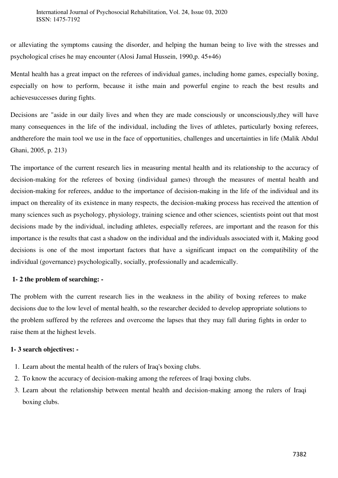or alleviating the symptoms causing the disorder, and helping the human being to live with the stresses and psychological crises he may encounter (Alosi Jamal Hussein, 1990,p. 45+46)

Mental health has a great impact on the referees of individual games, including home games, especially boxing, especially on how to perform, because it isthe main and powerful engine to reach the best results and achievesuccesses during fights.

Decisions are "aside in our daily lives and when they are made consciously or unconsciously,they will have many consequences in the life of the individual, including the lives of athletes, particularly boxing referees, andtherefore the main tool we use in the face of opportunities, challenges and uncertainties in life (Malik Abdul Ghani, 2005, p. 213)

The importance of the current research lies in measuring mental health and its relationship to the accuracy of decision-making for the referees of boxing (individual games) through the measures of mental health and decision-making for referees, anddue to the importance of decision-making in the life of the individual and its impact on thereality of its existence in many respects, the decision-making process has received the attention of many sciences such as psychology, physiology, training science and other sciences, scientists point out that most decisions made by the individual, including athletes, especially referees, are important and the reason for this importance is the results that cast a shadow on the individual and the individuals associated with it, Making good decisions is one of the most important factors that have a significant impact on the compatibility of the individual (governance) psychologically, socially, professionally and academically.

## **1- 2 the problem of searching: -**

The problem with the current research lies in the weakness in the ability of boxing referees to make decisions due to the low level of mental health, so the researcher decided to develop appropriate solutions to the problem suffered by the referees and overcome the lapses that they may fall during fights in order to raise them at the highest levels.

## **1- 3 search objectives: -**

- 1. Learn about the mental health of the rulers of Iraq's boxing clubs.
- 2. To know the accuracy of decision-making among the referees of Iraqi boxing clubs.
- 3. Learn about the relationship between mental health and decision-making among the rulers of Iraqi boxing clubs.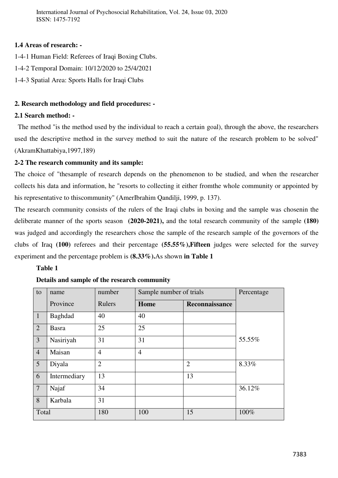International Journal of Psychosocial Rehabilitation, Vol. 24, Issue 03, 2020 ISSN: 1475-7192

# **1.4 Areas of research: -**

- 1-4-1 Human Field: Referees of Iraqi Boxing Clubs.
- 1-4-2 Temporal Domain: 10/12/2020 to 25/4/2021
- 1-4-3 Spatial Area: Sports Halls for Iraqi Clubs

# **2. Research methodology and field procedures: -**

# **2.1 Search method: -**

 The method "is the method used by the individual to reach a certain goal), through the above, the researchers used the descriptive method in the survey method to suit the nature of the research problem to be solved" (AkramKhattabiya,1997,189)

# **2-2 The research community and its sample:**

The choice of "thesample of research depends on the phenomenon to be studied, and when the researcher collects his data and information, he "resorts to collecting it either fromthe whole community or appointed by his representative to thiscommunity" (AmerIbrahim Qandilji, 1999, p. 137).

The research community consists of the rulers of the Iraqi clubs in boxing and the sample was chosenin the deliberate manner of the sports season **(2020-2021),** and the total research community of the sample **(180)** was judged and accordingly the researchers chose the sample of the research sample of the governors of the clubs of Iraq **(100)** referees and their percentage **(55.55%),Fifteen** judges were selected for the survey experiment and the percentage problem is **(8.33%).**As shown **in Table 1**

## **Table 1**

| to              | name         | number         | Sample number of trials |                | Percentage |
|-----------------|--------------|----------------|-------------------------|----------------|------------|
|                 | Province     | Rulers         | Home                    | Reconnaissance |            |
| $\mathbf{1}$    | Baghdad      | 40             | 40                      |                |            |
| 2               | <b>Basra</b> | 25             | 25                      |                |            |
| $\overline{3}$  | Nasiriyah    | 31             | 31                      |                | 55.55%     |
| $\overline{4}$  | Maisan       | $\overline{4}$ | $\overline{4}$          |                |            |
| $5\overline{)}$ | Diyala       | $\overline{2}$ |                         | $\overline{2}$ | 8.33%      |
| 6               | Intermediary | 13             |                         | 13             |            |
| $7\phantom{.0}$ | Najaf        | 34             |                         |                | 36.12%     |
| 8               | Karbala      | 31             |                         |                |            |
| Total           |              | 180            | 100                     | 15             | 100%       |

## **Details and sample of the research community**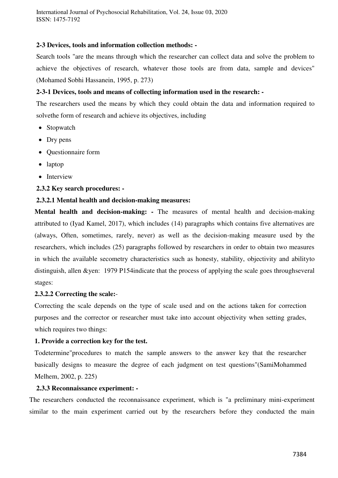International Journal of Psychosocial Rehabilitation, Vol. 24, Issue 03, 2020 ISSN: 1475-7192

#### **2-3 Devices, tools and information collection methods: -**

Search tools "are the means through which the researcher can collect data and solve the problem to achieve the objectives of research, whatever those tools are from data, sample and devices" (Mohamed Sobhi Hassanein, 1995, p. 273)

## **2-3-1 Devices, tools and means of collecting information used in the research: -**

The researchers used the means by which they could obtain the data and information required to solvethe form of research and achieve its objectives, including

- Stopwatch
- Dry pens
- Questionnaire form
- laptop
- Interview

#### **2.3.2 Key search procedures: -**

#### **2.3.2.1 Mental health and decision-making measures:**

**Mental health and decision-making:** - The measures of mental health and decision-making attributed to (Iyad Kamel, 2017), which includes (14) paragraphs which contains five alternatives are (always, Often, sometimes, rarely, never) as well as the decision-making measure used by the researchers, which includes (25) paragraphs followed by researchers in order to obtain two measures in which the available secometry characteristics such as honesty, stability, objectivity and abilityto distinguish, allen & yen: 1979 P154 indicate that the process of applying the scale goes throughseveral stages:

#### **2.3.2.2 Correcting the scale:**-

Correcting the scale depends on the type of scale used and on the actions taken for correction purposes and the corrector or researcher must take into account objectivity when setting grades, which requires two things:

#### **1. Provide a correction key for the test.**

Todetermine"procedures to match the sample answers to the answer key that the researcher basically designs to measure the degree of each judgment on test questions"(SamiMohammed Melhem, 2002, p. 225)

#### **2.3.3 Reconnaissance experiment: -**

The researchers conducted the reconnaissance experiment, which is "a preliminary mini-experiment similar to the main experiment carried out by the researchers before they conducted the main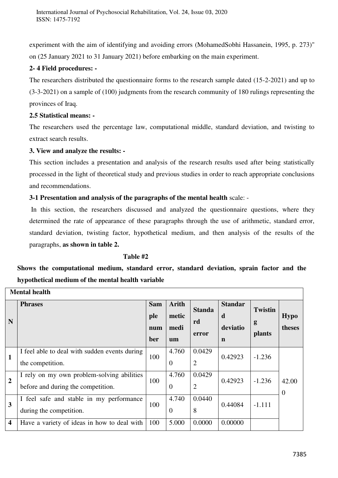experiment with the aim of identifying and avoiding errors (MohamedSobhi Hassanein, 1995, p. 273)" on (25 January 2021 to 31 January 2021) before embarking on the main experiment.

# **2- 4 Field procedures: -**

The researchers distributed the questionnaire forms to the research sample dated (15-2-2021) and up to (3-3-2021) on a sample of (100) judgments from the research community of 180 rulings representing the provinces of Iraq.

# **2.5 Statistical means: -**

The researchers used the percentage law, computational middle, standard deviation, and twisting to extract search results.

# **3. View and analyze the results: -**

This section includes a presentation and analysis of the research results used after being statistically processed in the light of theoretical study and previous studies in order to reach appropriate conclusions and recommendations.

**3-1 Presentation and analysis of the paragraphs of the mental health** scale: -

 In this section, the researchers discussed and analyzed the questionnaire questions, where they determined the rate of appearance of these paragraphs through the use of arithmetic, standard error, standard deviation, twisting factor, hypothetical medium, and then analysis of the results of the paragraphs, **as shown in table 2.**

# **Table #2**

**Shows the computational medium, standard error, standard deviation, sprain factor and the hypothetical medium of the mental health variable** 

|                         | <b>Mental health</b>                          |            |                |                |                |                |                   |
|-------------------------|-----------------------------------------------|------------|----------------|----------------|----------------|----------------|-------------------|
|                         | <b>Phrases</b>                                | <b>Sam</b> | <b>Arith</b>   | <b>Standa</b>  | <b>Standar</b> | <b>Twistin</b> |                   |
| N                       |                                               | ple        | metic          | rd             | d              | g              | <b>Hypo</b>       |
|                         |                                               | num<br>ber | medi<br>um     | error          | deviatio<br>n  | <b>plants</b>  | theses            |
|                         |                                               |            |                |                |                |                |                   |
| $\mathbf{1}$            | I feel able to deal with sudden events during | 100        | 4.760          | 0.0429         | 0.42923        | $-1.236$       |                   |
|                         | the competition.                              |            | $\overline{0}$ | $\overline{2}$ |                |                |                   |
|                         | I rely on my own problem-solving abilities    |            | 4.760          | 0.0429         |                |                |                   |
| $\overline{2}$          | before and during the competition.            | 100        | $\overline{0}$ | $\overline{2}$ | 0.42923        | $-1.236$       | 42.00<br>$\theta$ |
|                         | I feel safe and stable in my performance      |            | 4.740          | 0.0440         |                |                |                   |
| 3                       | during the competition.                       | 100        | $\overline{0}$ | 8              | 0.44084        | $-1.111$       |                   |
| $\overline{\mathbf{4}}$ | Have a variety of ideas in how to deal with   | 100        | 5.000          | 0.0000         | 0.00000        |                |                   |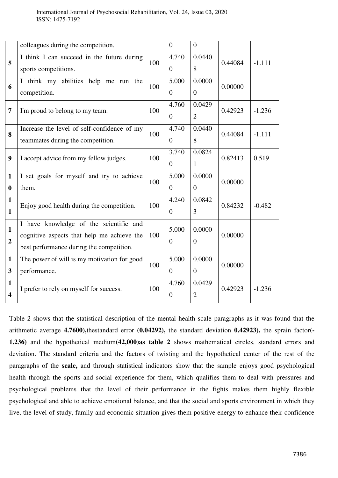|                                         | colleagues during the competition.                                                                                               |     | $\overline{0}$            | $\overline{0}$             |         |          |  |
|-----------------------------------------|----------------------------------------------------------------------------------------------------------------------------------|-----|---------------------------|----------------------------|---------|----------|--|
| 5                                       | I think I can succeed in the future during<br>sports competitions.                                                               | 100 | 4.740<br>$\boldsymbol{0}$ | 0.0440<br>8                | 0.44084 | $-1.111$ |  |
| 6                                       | I think my abilities help me run the<br>competition.                                                                             | 100 | 5.000<br>$\overline{0}$   | 0.0000<br>$\overline{0}$   | 0.00000 |          |  |
| $\overline{7}$                          | I'm proud to belong to my team.                                                                                                  | 100 | 4.760<br>$\overline{0}$   | 0.0429<br>$\overline{2}$   | 0.42923 | $-1.236$ |  |
| 8                                       | Increase the level of self-confidence of my<br>teammates during the competition.                                                 | 100 | 4.740<br>$\overline{0}$   | 0.0440<br>8                | 0.44084 | $-1.111$ |  |
| 9                                       | I accept advice from my fellow judges.                                                                                           | 100 | 3.740<br>$\overline{0}$   | 0.0824<br>$\mathbf{1}$     | 0.82413 | 0.519    |  |
| $\mathbf{1}$<br>$\mathbf{0}$            | I set goals for myself and try to achieve<br>them.                                                                               | 100 | 5.000<br>$\overline{0}$   | 0.0000<br>$\boldsymbol{0}$ | 0.00000 |          |  |
| $\mathbf{1}$<br>1                       | Enjoy good health during the competition.                                                                                        | 100 | 4.240<br>$\overline{0}$   | 0.0842<br>3                | 0.84232 | $-0.482$ |  |
| $\mathbf{1}$<br>$\overline{2}$          | I have knowledge of the scientific and<br>cognitive aspects that help me achieve the<br>best performance during the competition. | 100 | 5.000<br>$\overline{0}$   | 0.0000<br>$\overline{0}$   | 0.00000 |          |  |
| $\mathbf{1}$<br>$\overline{\mathbf{3}}$ | The power of will is my motivation for good<br>performance.                                                                      | 100 | 5.000<br>$\overline{0}$   | 0.0000<br>$\overline{0}$   | 0.00000 |          |  |
| $\mathbf{1}$<br>$\overline{\mathbf{4}}$ | I prefer to rely on myself for success.                                                                                          | 100 | 4.760<br>$\overline{0}$   | 0.0429<br>$\overline{2}$   | 0.42923 | $-1.236$ |  |

Table 2 shows that the statistical description of the mental health scale paragraphs as it was found that the arithmetic average **4.7600),**thestandard error **(0.04292),** the standard deviation **0.42923),** the sprain factor**(- 1.236)** and the hypothetical medium**(42,000)as table 2** shows mathematical circles, standard errors and deviation. The standard criteria and the factors of twisting and the hypothetical center of the rest of the paragraphs of the **scale,** and through statistical indicators show that the sample enjoys good psychological health through the sports and social experience for them, which qualifies them to deal with pressures and psychological problems that the level of their performance in the fights makes them highly flexible psychological and able to achieve emotional balance, and that the social and sports environment in which they live, the level of study, family and economic situation gives them positive energy to enhance their confidence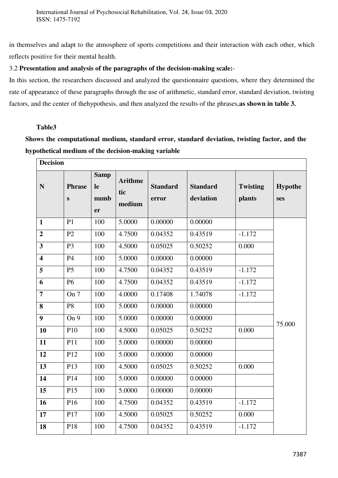in themselves and adapt to the atmosphere of sports competitions and their interaction with each other, which reflects positive for their mental health.

# 3.2 **Presentation and analysis of the paragraphs of the decision-making scale:**-

In this section, the researchers discussed and analyzed the questionnaire questions, where they determined the rate of appearance of these paragraphs through the use of arithmetic, standard error, standard deviation, twisting factors, and the center of thehypothesis, and then analyzed the results of the phrases,**as shown in table 3.**

# **Table3**

**Shows the computational medium, standard error, standard deviation, twisting factor, and the hypothetical medium of the decision-making variable** 

| <b>Decision</b>         |                               |                                 |                                 |                          |                              |                           |                       |
|-------------------------|-------------------------------|---------------------------------|---------------------------------|--------------------------|------------------------------|---------------------------|-----------------------|
| $\mathbf N$             | <b>Phrase</b><br>$\mathbf{s}$ | <b>Samp</b><br>le<br>numb<br>er | <b>Arithme</b><br>tic<br>medium | <b>Standard</b><br>error | <b>Standard</b><br>deviation | <b>Twisting</b><br>plants | <b>Hypothe</b><br>ses |
| $\mathbf{1}$            | P1                            | 100                             | 5.0000                          | 0.00000                  | 0.00000                      |                           |                       |
| $\overline{2}$          | P2                            | 100                             | 4.7500                          | 0.04352                  | 0.43519                      | $-1.172$                  |                       |
| $\overline{\mathbf{3}}$ | P <sub>3</sub>                | 100                             | 4.5000                          | 0.05025                  | 0.50252                      | 0.000                     |                       |
| $\overline{\mathbf{4}}$ | <b>P4</b>                     | 100                             | 5.0000                          | 0.00000                  | 0.00000                      |                           |                       |
| 5                       | P <sub>5</sub>                | 100                             | 4.7500                          | 0.04352                  | 0.43519                      | $-1.172$                  |                       |
| 6                       | <b>P6</b>                     | 100                             | 4.7500                          | 0.04352                  | 0.43519                      | $-1.172$                  |                       |
| $\overline{7}$          | On 7                          | 100                             | 4.0000                          | 0.17408                  | 1.74078                      | $-1.172$                  |                       |
| 8                       | P <sub>8</sub>                | 100                             | 5.0000                          | 0.00000                  | 0.00000                      |                           |                       |
| 9                       | On 9                          | 100                             | 5.0000                          | 0.00000                  | 0.00000                      |                           | 75.000                |
| 10                      | P10                           | 100                             | 4.5000                          | 0.05025                  | 0.50252                      | 0.000                     |                       |
| 11                      | P11                           | 100                             | 5.0000                          | 0.00000                  | 0.00000                      |                           |                       |
| 12                      | P12                           | 100                             | 5.0000                          | 0.00000                  | 0.00000                      |                           |                       |
| 13                      | P13                           | 100                             | 4.5000                          | 0.05025                  | 0.50252                      | 0.000                     |                       |
| 14                      | P14                           | 100                             | 5.0000                          | 0.00000                  | 0.00000                      |                           |                       |
| 15                      | P15                           | 100                             | 5.0000                          | 0.00000                  | 0.00000                      |                           |                       |
| 16                      | P16                           | 100                             | 4.7500                          | 0.04352                  | 0.43519                      | $-1.172$                  |                       |
| 17                      | P17                           | 100                             | 4.5000                          | 0.05025                  | 0.50252                      | 0.000                     |                       |
| 18                      | P18                           | 100                             | 4.7500                          | 0.04352                  | 0.43519                      | $-1.172$                  |                       |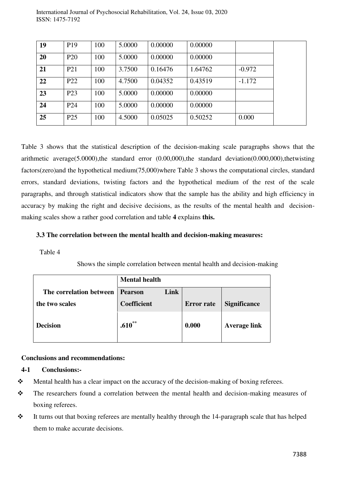| 19 | P <sub>19</sub> | 100 | 5.0000 | 0.00000 | 0.00000 |          |
|----|-----------------|-----|--------|---------|---------|----------|
| 20 | P <sub>20</sub> | 100 | 5.0000 | 0.00000 | 0.00000 |          |
| 21 | P <sub>21</sub> | 100 | 3.7500 | 0.16476 | 1.64762 | $-0.972$ |
| 22 | P <sub>22</sub> | 100 | 4.7500 | 0.04352 | 0.43519 | $-1.172$ |
| 23 | P23             | 100 | 5.0000 | 0.00000 | 0.00000 |          |
| 24 | P <sub>24</sub> | 100 | 5.0000 | 0.00000 | 0.00000 |          |
| 25 | P <sub>25</sub> | 100 | 4.5000 | 0.05025 | 0.50252 | 0.000    |

International Journal of Psychosocial Rehabilitation, Vol. 24, Issue 03, 2020 ISSN: 1475-7192

Table 3 shows that the statistical description of the decision-making scale paragraphs shows that the arithmetic average(5.0000),the standard error (0.00,000),the standard deviation(0.000,000),thetwisting factors(zero)and the hypothetical medium(75,000)where Table 3 shows the computational circles, standard errors, standard deviations, twisting factors and the hypothetical medium of the rest of the scale paragraphs, and through statistical indicators show that the sample has the ability and high efficiency in accuracy by making the right and decisive decisions, as the results of the mental health and decisionmaking scales show a rather good correlation and table **4** explains **this.** 

### **3.3 The correlation between the mental health and decision-making measures:**

Table 4

Shows the simple correlation between mental health and decision-making

|                         | <b>Mental health</b>   |                   |                     |
|-------------------------|------------------------|-------------------|---------------------|
| The correlation between | Link<br><b>Pearson</b> |                   |                     |
| the two scales          | <b>Coefficient</b>     | <b>Error</b> rate | <b>Significance</b> |
| <b>Decision</b>         | $.610^{**}$            | 0.000             | <b>Average link</b> |

#### **Conclusions and recommendations:**

## **4-1 Conclusions:-**

- $\mathbf{\hat{\cdot}}$  Mental health has a clear impact on the accuracy of the decision-making of boxing referees.
- \* The researchers found a correlation between the mental health and decision-making measures of boxing referees.
- $\cdot \cdot$  It turns out that boxing referees are mentally healthy through the 14-paragraph scale that has helped them to make accurate decisions.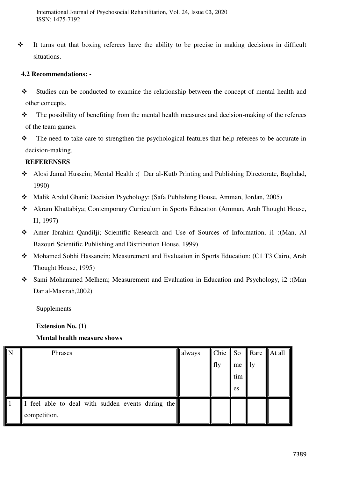It turns out that boxing referees have the ability to be precise in making decisions in difficult situations.

# **4.2 Recommendations: -**

- Studies can be conducted to examine the relationship between the concept of mental health and other concepts.
- $\cdot \cdot$  The possibility of benefiting from the mental health measures and decision-making of the referees of the team games.
- \* The need to take care to strengthen the psychological features that help referees to be accurate in decision-making.

# **REFERENSES**

- Alosi Jamal Hussein; Mental Health :( Dar al-Kutb Printing and Publishing Directorate, Baghdad, 1990)
- Malik Abdul Ghani; Decision Psychology: (Safa Publishing House, Amman, Jordan, 2005)
- Akram Khattabiya; Contemporary Curriculum in Sports Education (Amman, Arab Thought House, I1, 1997)
- Amer Ibrahim Qandilji; Scientific Research and Use of Sources of Information, i1 :(Man, Al Bazouri Scientific Publishing and Distribution House, 1999)
- Mohamed Sobhi Hassanein; Measurement and Evaluation in Sports Education: (C1 T3 Cairo, Arab Thought House, 1995)
- Sami Mohammed Melhem; Measurement and Evaluation in Education and Psychology, i2 :(Man Dar al-Masirah,2002)

**Supplements** 

**Extension No. (1)** 

## **Mental health measure shows**

| N | Phrases                                         | always | Chie So |     |              | $\parallel$ Rare $\parallel$ At all $\parallel$ |
|---|-------------------------------------------------|--------|---------|-----|--------------|-------------------------------------------------|
|   |                                                 |        | fly     | me  | $\mathbf{1}$ |                                                 |
|   |                                                 |        |         | tim |              |                                                 |
|   |                                                 |        |         | es  |              |                                                 |
|   | feel able to deal with sudden events during the |        |         |     |              |                                                 |
|   | competition.                                    |        |         |     |              |                                                 |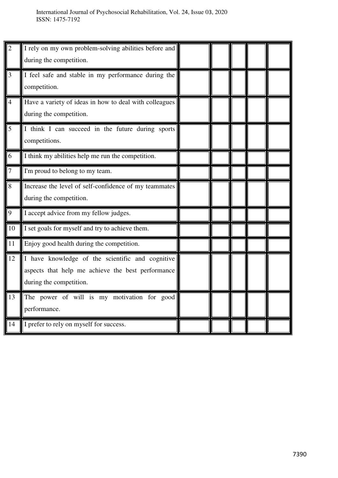| $\overline{2}$ | I rely on my own problem-solving abilities before and<br>during the competition.                                                 |  |  |  |
|----------------|----------------------------------------------------------------------------------------------------------------------------------|--|--|--|
| 3              | I feel safe and stable in my performance during the<br>competition.                                                              |  |  |  |
| $\overline{4}$ | Have a variety of ideas in how to deal with colleagues<br>during the competition.                                                |  |  |  |
| 5              | I think I can succeed in the future during sports<br>competitions.                                                               |  |  |  |
| 6              | I think my abilities help me run the competition.                                                                                |  |  |  |
| 7              | I'm proud to belong to my team.                                                                                                  |  |  |  |
| 8              | Increase the level of self-confidence of my teammates<br>during the competition.                                                 |  |  |  |
| 9              | I accept advice from my fellow judges.                                                                                           |  |  |  |
| 10             | I set goals for myself and try to achieve them.                                                                                  |  |  |  |
| 11             | Enjoy good health during the competition.                                                                                        |  |  |  |
| 12             | I have knowledge of the scientific and cognitive<br>aspects that help me achieve the best performance<br>during the competition. |  |  |  |
| 13             | The power of will is my motivation for good<br>performance.                                                                      |  |  |  |
| 14             | I prefer to rely on myself for success.                                                                                          |  |  |  |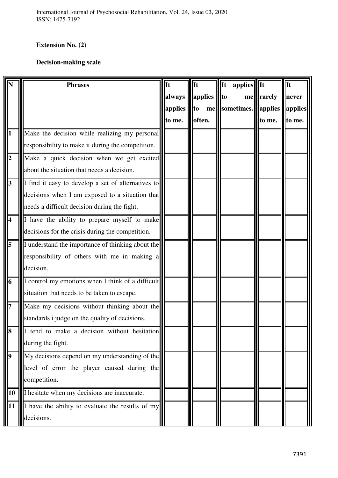# **Extension No. (2)**

# **Decision-making scale**

|                         | <b>Phrases</b>                                     | It      | It      | It           | applies                          | It     |
|-------------------------|----------------------------------------------------|---------|---------|--------------|----------------------------------|--------|
|                         |                                                    | always  | applies | $\mathbf{t}$ | mellrarely                       | never  |
|                         |                                                    | applies | to      |              | me  sometimes.  applies  applies |        |
|                         |                                                    | to me.  | often.  |              | to me.                           | to me. |
|                         | Make the decision while realizing my personal      |         |         |              |                                  |        |
|                         | responsibility to make it during the competition.  |         |         |              |                                  |        |
| $\overline{2}$          | Make a quick decision when we get excited          |         |         |              |                                  |        |
|                         | about the situation that needs a decision.         |         |         |              |                                  |        |
| $\overline{\mathbf{3}}$ | I find it easy to develop a set of alternatives to |         |         |              |                                  |        |
|                         | decisions when I am exposed to a situation that    |         |         |              |                                  |        |
|                         | needs a difficult decision during the fight.       |         |         |              |                                  |        |
| $\overline{\mathbf{4}}$ | I have the ability to prepare myself to make       |         |         |              |                                  |        |
|                         | decisions for the crisis during the competition.   |         |         |              |                                  |        |
| 5                       | I understand the importance of thinking about the  |         |         |              |                                  |        |
|                         | responsibility of others with me in making a       |         |         |              |                                  |        |
|                         | decision.                                          |         |         |              |                                  |        |
| $\overline{6}$          | I control my emotions when I think of a difficult  |         |         |              |                                  |        |
|                         | situation that needs to be taken to escape.        |         |         |              |                                  |        |
| $\overline{7}$          | Make my decisions without thinking about the       |         |         |              |                                  |        |
|                         | standards i judge on the quality of decisions.     |         |         |              |                                  |        |
| IО                      | I tend to make a decision without hesitation       |         |         |              |                                  |        |
|                         | during the fight.                                  |         |         |              |                                  |        |
| $\boldsymbol{9}$        | My decisions depend on my understanding of the     |         |         |              |                                  |        |
|                         | level of error the player caused during the        |         |         |              |                                  |        |
|                         | competition.                                       |         |         |              |                                  |        |
| 10                      | I hesitate when my decisions are inaccurate.       |         |         |              |                                  |        |
| 11                      | I have the ability to evaluate the results of my   |         |         |              |                                  |        |
|                         | decisions.                                         |         |         |              |                                  |        |